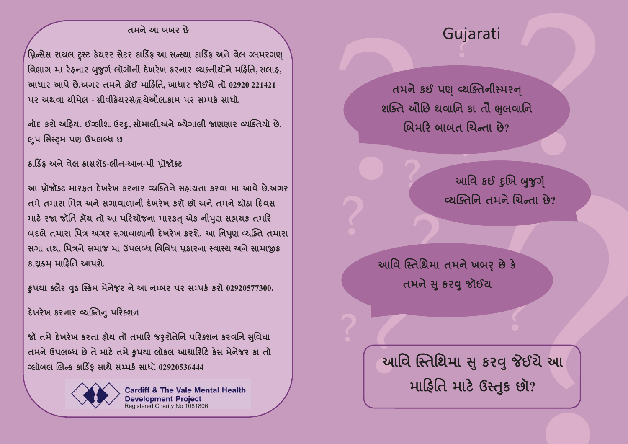## Gujarati

તમને કઈ પણ વ્યક્તિનીસ્મરન્ શક્તિ ઔેછિ થવાનિ કા તૌ ભુલવાનિ બિમરિ બાબત ચિન્તા છે?

> આવિ કઈ દુખિ બુજુર્ગ્ व्यक्तिनि तमने यिन्ता छे?

આવિ સ્તિથિમા તમને ખબર છે કે તમને સુ કરવુ જૉઈચ

આવિ સ્તિથિમા સુ કરવુ જેઈયે આ મારિતિ માટે ઉસ્તુક છૉ?

## તમને આ ખબર છે

<sup>'</sup>પ્રિન્સેસ રાચલ ટ્રસ્ટ કેચરર સેટર કાર્ડિક આ સન્સ્થા કાર્ડિક અને વેલ ગ્લમરગણ વિભાગ મા રેફનાર બુજર્ગ લૉગૉની દેખરેખ કરનાર વ્યક્તીયૉને મહિતિ સલાફ. આધાર આપે છે.અગર તમને કૉઈ માહિતિ આધાર જૉઈચે તૉ 02920 221421 પર અથવા ચીમેલ - સીવીકેચરર્સ@ચેઔલ.કામ પર સમ્પર્ક સાધૉ.

નૉદ કરૉ અફિયા ઈગ્લીશ, ઉરદૂ, સૉમાલી,અને બ્યેગાલી જાણણાર વ્યક્તિયૉ છે. લુપ સિસ્ટમ પણ ઉપલબ્ધ છ

કાર્ડિક અને વેલ ક્રાસરૉડ-લીન-આન-મી પૉજૉક્ટ

આ પ્રૉજૉક્ટ મારફત દેખરેખ કરનાર વ્યક્તિને સફાયતા કરવા મા આવે છે.અગર તમે તમારા મિત્ર અને સગાવાળાની દેખરેખ કરો છો અને તમને થોંડા દિવસ માટે રજા જૉતિ ફૉચ તૉ આ પરિયૉજના મારફત એક નીપુણ સફાચક તમરિ બદલે તમારા મિત્ર અગર સગાવાળાની દેખરેખ કરશે. આ નિપણ વ્યક્તિ તમારા સગા તથા મિત્રને સમાજ મા ઉપલબ્ધ વિવિધ પકારના સ્વાસ્થ અને સામાજીક કાચૂકમ માહિતિ આપશે.

કૃપયા ક્લૈર વુડ સ્કિમ મેનેજુર ને આ નમ્બર પર સમ્પર્ક કરૉ 02920577300.

દેખરેખ કરનાર વ્યક્તિનુ પરિક્શન

જૉ તમે દેખરેખ કરતા ફૉચ તૉ તમારિ જરૃરૉતેનિ પરિક્શન કરવનિ સુવિધા તમને ઉપલબ્ધ છે તે માટે તમે કૃપચા લૉકલ આશારિટિ કેસ મેનેજર કા તૉ <u>ગ્લૉબલ લિન્ક કાર્ડિક સાથે સમ્પર્ક સાધૉ 02920536444</u>



**Cardiff & The Vale Mental Health Development Project** Registered Charity No 1081806